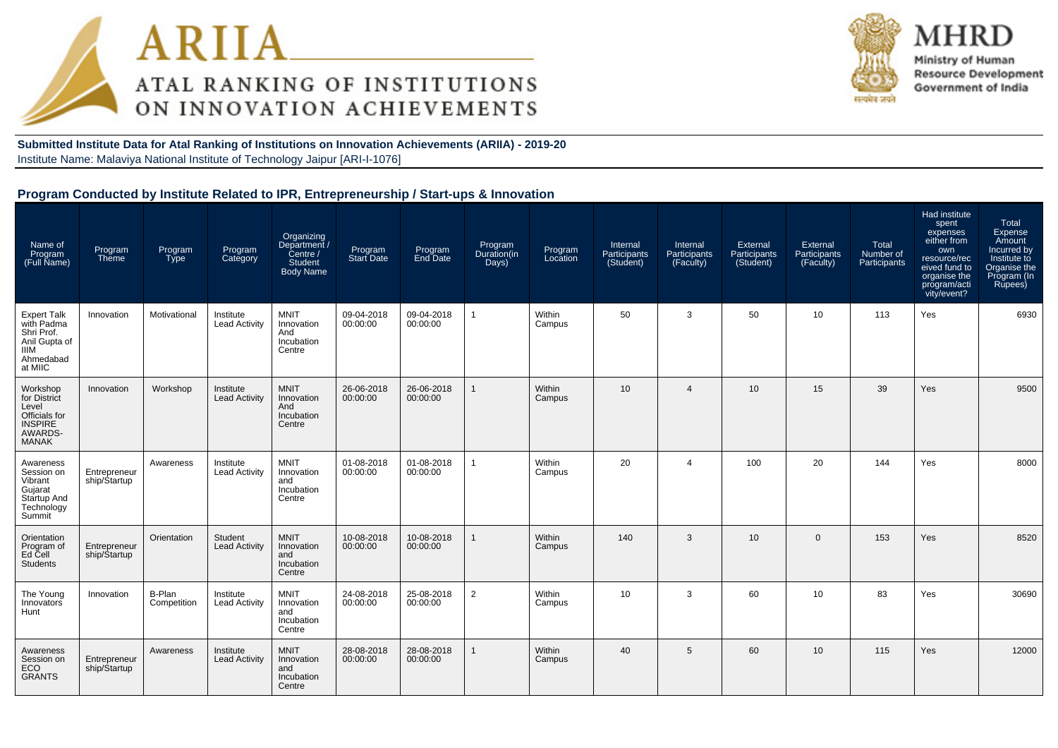



MHRD Ministry of Human **Resource Development** Government of India

**Submitted Institute Data for Atal Ranking of Institutions on Innovation Achievements (ARIIA) - 2019-20**Institute Name: Malaviya National Institute of Technology Jaipur [ARI-I-1076]

# **Program Conducted by Institute Related to IPR, Entrepreneurship / Start-ups & Innovation**

| Name of<br>Program<br>(Full Name)                                                                      | Program<br>Theme              | Program<br><b>Type</b> | Program<br>Category               | Organizing<br>Department /<br>Centre /<br>Student<br><b>Body Name</b> | Program<br><b>Start Date</b> | Program<br>End Date    | Program<br>Duration(in<br>Days) | Program<br>Location | Internal<br>Participants<br>(Student) | Internal<br>Participants<br>(Faculty) | External<br>Participants<br>(Student) | External<br>Participants<br>(Faculty) | Total<br>Number of<br>Participants | Had institute<br>spent<br>expenses<br>either from<br>own<br>resource/rec<br>eived fund to<br>organise the<br>program/acti<br>vity/event? | Total<br>Expense<br>Amount<br>Incurred by<br>Institute to<br>Organise the<br>Program (In<br>Rupees) |
|--------------------------------------------------------------------------------------------------------|-------------------------------|------------------------|-----------------------------------|-----------------------------------------------------------------------|------------------------------|------------------------|---------------------------------|---------------------|---------------------------------------|---------------------------------------|---------------------------------------|---------------------------------------|------------------------------------|------------------------------------------------------------------------------------------------------------------------------------------|-----------------------------------------------------------------------------------------------------|
| <b>Expert Talk</b><br>with Padma<br>Shri Prof.<br>Anil Gupta of<br><b>IIIM</b><br>Ahmedabad<br>at MIIC | Innovation                    | Motivational           | Institute<br><b>Lead Activity</b> | <b>MNIT</b><br>Innovation<br>And<br>Incubation<br>Centre              | 09-04-2018<br>00:00:00       | 09-04-2018<br>00:00:00 | $\overline{1}$                  | Within<br>Campus    | 50                                    | 3                                     | 50                                    | 10                                    | 113                                | Yes                                                                                                                                      | 6930                                                                                                |
| Workshop<br>for District<br>Level<br>Officials for<br><b>INSPIRE</b><br>AWARDS-<br><b>MANAK</b>        | Innovation                    | Workshop               | Institute<br><b>Lead Activity</b> | <b>MNIT</b><br>Innovation<br>And<br>Incubation<br>Centre              | 26-06-2018<br>00:00:00       | 26-06-2018<br>00:00:00 | $\mathbf{1}$                    | Within<br>Campus    | 10 <sup>1</sup>                       | 4                                     | 10                                    | 15                                    | 39                                 | Yes                                                                                                                                      | 9500                                                                                                |
| Awareness<br>Session on<br>Vibrant<br>Gujarat<br>Startup And<br>Technology<br>Summit                   | Entrepreneur<br>ship/Startup  | Awareness              | Institute<br><b>Lead Activity</b> | <b>MNIT</b><br>Innovation<br>and<br>Incubation<br>Centre              | 01-08-2018<br>00:00:00       | 01-08-2018<br>00:00:00 | $\overline{1}$                  | Within<br>Campus    | 20                                    | 4                                     | 100                                   | 20                                    | 144                                | Yes                                                                                                                                      | 8000                                                                                                |
| Orientation<br>Program of<br>Ed Cell<br><b>Students</b>                                                | Entrepreneur<br>ship/\$tartup | Orientation            | Student<br><b>Lead Activity</b>   | <b>MNIT</b><br>Innovation<br>and<br>Incubation<br>Centre              | 10-08-2018<br>00:00:00       | 10-08-2018<br>00:00:00 | 1                               | Within<br>Campus    | 140                                   | 3                                     | 10                                    | $\mathbf{0}$                          | 153                                | Yes                                                                                                                                      | 8520                                                                                                |
| The Young<br>Innovators<br>Hunt                                                                        | Innovation                    | B-Plan<br>Competition  | Institute<br><b>Lead Activity</b> | <b>MNIT</b><br>Innovation<br>and<br>Incubation<br>Centre              | 24-08-2018<br>00:00:00       | 25-08-2018<br>00:00:00 | $\overline{2}$                  | Within<br>Campus    | 10                                    | 3                                     | 60                                    | 10                                    | 83                                 | Yes                                                                                                                                      | 30690                                                                                               |
| Awareness<br>Session on<br><b>ECO</b><br><b>GRANTS</b>                                                 | Entrepreneur<br>ship/Startup  | Awareness              | Institute<br><b>Lead Activity</b> | <b>MNIT</b><br>Innovation<br>and<br>Incubation<br>Centre              | 28-08-2018<br>00:00:00       | 28-08-2018<br>00:00:00 | 1                               | Within<br>Campus    | 40                                    | 5                                     | 60                                    | 10                                    | 115                                | Yes                                                                                                                                      | 12000                                                                                               |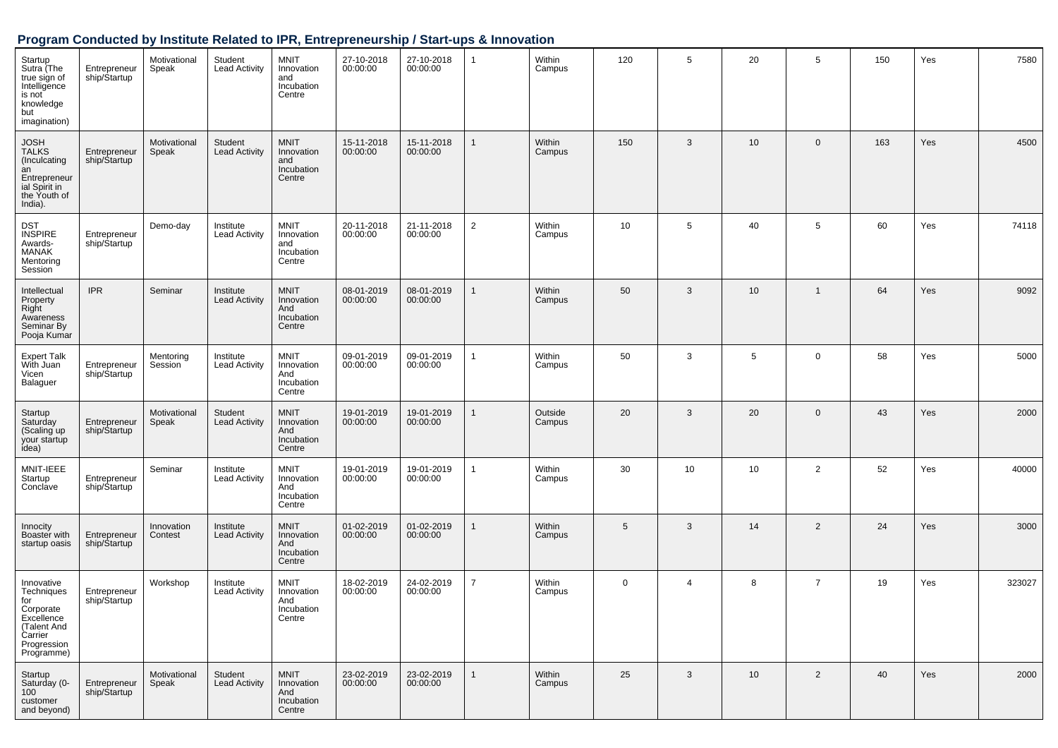## **Program Conducted by Institute Related to IPR, Entrepreneurship / Start-ups & Innovation**

| Startup<br>Sutra (The<br>true sign of<br>Intelligence<br>is not<br>knowledge<br>but<br>imagination)               | Entrepreneur<br>ship/Startup | Motivational<br>Speak | Student<br><b>Lead Activity</b>   | <b>MNIT</b><br>Innovation<br>and<br>Incubation<br>Centre | 27-10-2018<br>00:00:00 | 27-10-2018<br>00:00:00 | $\mathbf{1}$   | Within<br>Campus        | 120         | 5              | 20 | 5              | 150 | Yes | 7580   |
|-------------------------------------------------------------------------------------------------------------------|------------------------------|-----------------------|-----------------------------------|----------------------------------------------------------|------------------------|------------------------|----------------|-------------------------|-------------|----------------|----|----------------|-----|-----|--------|
| <b>JOSH</b><br><b>TALKS</b><br>(Inculcating<br>an<br>Entrepreneur<br>ial Spirit in<br>the Youth of<br>India).     | Entrepreneur<br>ship/Startup | Motivational<br>Speak | Student<br><b>Lead Activity</b>   | <b>MNIT</b><br>Innovation<br>and<br>Incubation<br>Centre | 15-11-2018<br>00:00:00 | 15-11-2018<br>00:00:00 | 1              | <b>Within</b><br>Campus | 150         | 3              | 10 | $\mathbf 0$    | 163 | Yes | 4500   |
| <b>DST</b><br><b>INSPIRE</b><br>Awards-<br>MANAK<br>Mentoring<br>Session                                          | Entrepreneur<br>ship/Startup | Demo-day              | Institute<br><b>Lead Activity</b> | <b>MNIT</b><br>Innovation<br>and<br>Incubation<br>Centre | 20-11-2018<br>00:00:00 | 21-11-2018<br>00:00:00 | $\overline{2}$ | Within<br>Campus        | 10          | 5              | 40 | 5              | 60  | Yes | 74118  |
| Intellectual<br>Property<br>Right<br>Awareness<br>Seminar By<br>Pooja Kumar                                       | <b>IPR</b>                   | Seminar               | Institute<br><b>Lead Activity</b> | <b>MNIT</b><br>Innovation<br>And<br>Incubation<br>Centre | 08-01-2019<br>00:00:00 | 08-01-2019<br>00:00:00 | 1              | Within<br>Campus        | 50          | 3              | 10 | $\overline{1}$ | 64  | Yes | 9092   |
| Expert Talk<br>With Juan<br>Vicen<br>Balaguer                                                                     | Entrepreneur<br>ship/Startup | Mentoring<br>Session  | Institute<br><b>Lead Activity</b> | <b>MNIT</b><br>Innovation<br>And<br>Incubation<br>Centre | 09-01-2019<br>00:00:00 | 09-01-2019<br>00:00:00 | 1              | Within<br>Campus        | 50          | 3              | 5  | $\mathbf 0$    | 58  | Yes | 5000   |
| Startup<br>Saturday<br>(Scaling up<br>your startup<br>idea)                                                       | Entrepreneur<br>ship/Startup | Motivational<br>Speak | Student<br><b>Lead Activity</b>   | <b>MNIT</b><br>Innovation<br>And<br>Incubation<br>Centre | 19-01-2019<br>00:00:00 | 19-01-2019<br>00:00:00 | $\mathbf{1}$   | Outside<br>Campus       | 20          | 3              | 20 | $\mathbf 0$    | 43  | Yes | 2000   |
| MNIT-IEEE<br>Startup<br>Conclave                                                                                  | Entrepreneur<br>ship/Startup | Seminar               | Institute<br><b>Lead Activity</b> | <b>MNIT</b><br>Innovation<br>And<br>Incubation<br>Centre | 19-01-2019<br>00:00:00 | 19-01-2019<br>00:00:00 | 1              | Within<br>Campus        | 30          | 10             | 10 | $\overline{2}$ | 52  | Yes | 40000  |
| Innocity<br>Boaster with<br>startup oasis                                                                         | Entrepreneur<br>ship/Startup | Innovation<br>Contest | Institute<br><b>Lead Activity</b> | <b>MNIT</b><br>Innovation<br>And<br>Incubation<br>Centre | 01-02-2019<br>00:00:00 | 01-02-2019<br>00:00:00 | $\mathbf{1}$   | <b>Within</b><br>Campus | 5           | 3              | 14 | $\overline{2}$ | 24  | Yes | 3000   |
| Innovative<br>Techniques<br>for<br>Corporate<br>Excellence<br>(Talent And<br>Carrier<br>Progression<br>Programme) | Entrepreneur<br>ship/Startup | Workshop              | Institute<br><b>Lead Activity</b> | <b>MNIT</b><br>Innovation<br>And<br>Incubation<br>Centre | 18-02-2019<br>00:00:00 | 24-02-2019<br>00:00:00 | $\overline{7}$ | Within<br>Campus        | $\mathbf 0$ | $\overline{4}$ | 8  | $\overline{7}$ | 19  | Yes | 323027 |
| Startup<br>Saturday (0-<br>100<br>customer<br>and beyond)                                                         | Entrepreneur<br>ship/Startup | Motivational<br>Speak | Student<br>Lead Activity          | <b>MNIT</b><br>Innovation<br>And<br>Incubation<br>Centre | 23-02-2019<br>00:00:00 | 23-02-2019<br>00:00:00 | $\mathbf{1}$   | Within<br>Campus        | 25          | 3              | 10 | $\overline{2}$ | 40  | Yes | 2000   |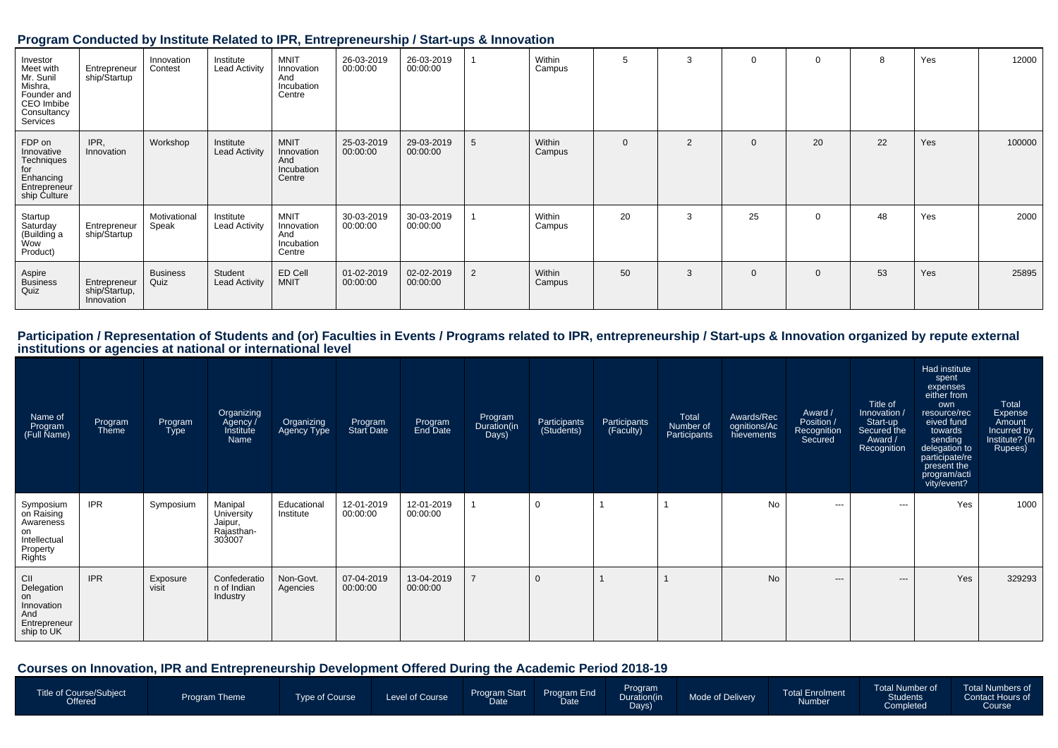#### **Program Conducted by Institute Related to IPR, Entrepreneurship / Start-ups & Innovation**

| Investor<br>Meet with<br>Mr. Sunil<br>Mishra,<br>Founder and<br>CEO Imbibe<br>Consultancy<br>Services | Entrepreneur<br>ship/Startup                | Innovation<br>Contest   | Institute<br><b>Lead Activity</b> | <b>MNIT</b><br>Innovation<br>And<br>Incubation<br>Centre | 26-03-2019<br>00:00:00 | 26-03-2019<br>00:00:00 |   | Within<br>Campus | $\mathbf{b}$ | 3              | $\Omega$    | $\Omega$ | 8  | Yes | 12000  |
|-------------------------------------------------------------------------------------------------------|---------------------------------------------|-------------------------|-----------------------------------|----------------------------------------------------------|------------------------|------------------------|---|------------------|--------------|----------------|-------------|----------|----|-----|--------|
| FDP on<br>Innovative<br>Techniques<br>for<br>Enhancing<br>Entrepreneur<br>ship Culture                | IPR,<br>Innovation                          | Workshop                | Institute<br><b>Lead Activity</b> | <b>MNIT</b><br>Innovation<br>And<br>Incubation<br>Centre | 25-03-2019<br>00:00:00 | 29-03-2019<br>00:00:00 | 5 | Within<br>Campus | $\mathbf 0$  | $\overline{2}$ | 0           | 20       | 22 | Yes | 100000 |
| Startup<br>Saturday<br>(Building a<br>Wow<br>Product)                                                 | Entrepreneur<br>ship/Startup                | Motivational<br>Speak   | Institute<br><b>Lead Activity</b> | <b>MNIT</b><br>Innovation<br>And<br>Incubation<br>Centre | 30-03-2019<br>00:00:00 | 30-03-2019<br>00:00:00 |   | Within<br>Campus | 20           | 3              | 25          | $\Omega$ | 48 | Yes | 2000   |
| Aspire<br>Business<br>Quiz                                                                            | Entrepreneur<br>ship/Startup,<br>Innovation | <b>Business</b><br>Quiz | Student<br><b>Lead Activity</b>   | ED Cell<br><b>MNIT</b>                                   | 01-02-2019<br>00:00:00 | 02-02-2019<br>00:00:00 | 2 | Within<br>Campus | 50           | 3              | $\mathbf 0$ | $\Omega$ | 53 | Yes | 25895  |

Participation / Representation of Students and (or) Faculties in Events / Programs related to IPR, entrepreneurship / Start-ups & Innovation organized by repute external<br>institutions or agencies at national or internationa

| Name of<br>Program<br>(Full Name)                                                | Program<br>Theme | Program<br>Type   | Organizing<br>Agency /<br>Institute<br>Name              | Organizing<br>Agency Type | Program<br>Start Date  | Program<br>End Date    | Program<br>Duration(in<br>Days) | Participants<br>(Students) | Participants<br>(Faculty) | Total<br>Number of<br>Participants | Awards/Rec<br>ognitions/Ac<br>hievements | Award /<br>Position /<br>Recognition<br>Secured | Title of<br>Innovation<br>Start-up<br>Secured the<br>Award /<br>Recognition | Had institute<br>spent<br>expenses<br>either from<br>own<br>resource/rec<br>eived fund<br>towards<br>sending<br>delegation to<br>participate/re<br>present the<br>program/acti<br>vity/event? | Total<br>Expense<br>Amount<br>Incurred by<br>Institute? (In<br>Rupees) |
|----------------------------------------------------------------------------------|------------------|-------------------|----------------------------------------------------------|---------------------------|------------------------|------------------------|---------------------------------|----------------------------|---------------------------|------------------------------------|------------------------------------------|-------------------------------------------------|-----------------------------------------------------------------------------|-----------------------------------------------------------------------------------------------------------------------------------------------------------------------------------------------|------------------------------------------------------------------------|
| Symposium<br>on Raising<br>Awareness<br>on<br>Intellectual<br>Property<br>Rights | <b>IPR</b>       | Symposium         | Manipal<br>University<br>Jaipur,<br>Rajasthan-<br>303007 | Educational<br>Institute  | 12-01-2019<br>00:00:00 | 12-01-2019<br>00:00:00 |                                 |                            |                           |                                    | <b>No</b>                                | $\cdots$                                        | $--$                                                                        | Yes                                                                                                                                                                                           | 1000                                                                   |
| CII<br>Delegation<br>on<br>Innovation<br>And<br>Entrepreneur<br>ship to UK       | <b>IPR</b>       | Exposure<br>visit | Confederatio<br>n of Indian<br>Industry                  | Non-Govt.<br>Agencies     | 07-04-2019<br>00:00:00 | 13-04-2019<br>00:00:00 | $\overline{7}$                  |                            |                           |                                    | <b>No</b>                                | $---$                                           | $---$                                                                       | Yes                                                                                                                                                                                           | 329293                                                                 |

**Courses on Innovation, IPR and Entrepreneurship Development Offered During the Academic Period 2018-19**

| Title of Course/Subject<br>Offered <sup>1</sup> | <b>Program Theme</b> | Type of Course | Level of Course | <b>Program Start</b><br><b>Date</b> | Program End<br>Date | <b>Program</b><br>Duration(in<br>Days) | Mode of Delivery | Total Enrolment<br>Number | Total Number of<br><b>Students</b><br>Completed <sup>1</sup> | <b>Total Numbers of</b><br>Contact Hours of<br>Course |
|-------------------------------------------------|----------------------|----------------|-----------------|-------------------------------------|---------------------|----------------------------------------|------------------|---------------------------|--------------------------------------------------------------|-------------------------------------------------------|
|                                                 |                      |                |                 |                                     |                     |                                        |                  |                           |                                                              |                                                       |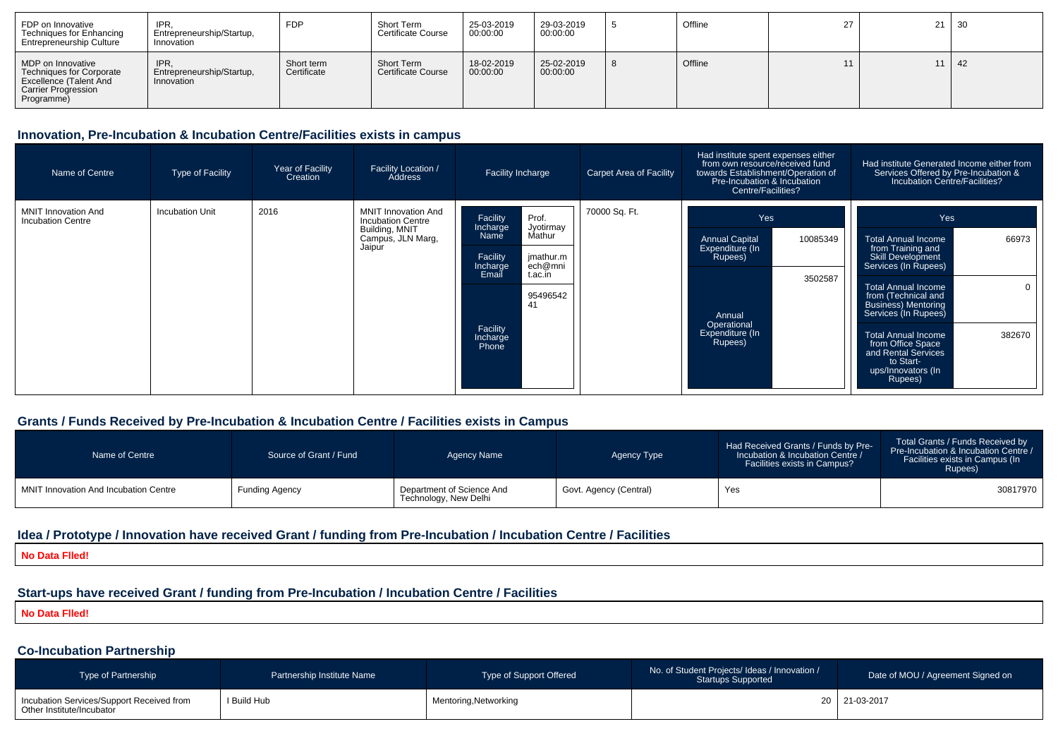| FDP on Innovative<br>Techniques for Enhancing<br><b>Entrepreneurship Culture</b>                                                  | IPR.<br>Entrepreneurship/Startup,<br>Innovation | <b>FDP</b>                | Short Term<br><b>Certificate Course</b> | 25-03-2019<br>00:00:00 | 29-03-2019<br>00:00:00 | Offline | 27 | $21 \mid 30$ |              |
|-----------------------------------------------------------------------------------------------------------------------------------|-------------------------------------------------|---------------------------|-----------------------------------------|------------------------|------------------------|---------|----|--------------|--------------|
| MDP on Innovative<br><b>Techniques for Corporate</b><br><b>Excellence (Talent And</b><br><b>Carrier Progression</b><br>Programme) | IPR.<br>Entrepreneurship/Startup,<br>Innovation | Short term<br>Certificate | Short Term<br><b>Certificate Course</b> | 18-02-2019<br>00:00:00 | 25-02-2019<br>00:00:00 | Offline | 11 |              | $11 \mid 42$ |

### **Innovation, Pre-Incubation & Incubation Centre/Facilities exists in campus**

| Name of Centre                                         | Type of Facility       | Year of Facility<br>Creation | <b>Facility Location /</b><br>Address                                                                   | Facility Incharge<br><b>Carpet Area of Facility</b>                                                                                                                                 |               | Had institute spent expenses either<br>from own resource/received fund<br>towards Establishment/Operation of<br>Pre-Incubation & Incubation<br>Centre/Facilities? | Had institute Generated Income either from<br>Services Offered by Pre-Incubation &<br>Incubation Centre/Facilities?                                                                                                                                                                                                                                                          |
|--------------------------------------------------------|------------------------|------------------------------|---------------------------------------------------------------------------------------------------------|-------------------------------------------------------------------------------------------------------------------------------------------------------------------------------------|---------------|-------------------------------------------------------------------------------------------------------------------------------------------------------------------|------------------------------------------------------------------------------------------------------------------------------------------------------------------------------------------------------------------------------------------------------------------------------------------------------------------------------------------------------------------------------|
| <b>MNIT Innovation And</b><br><b>Incubation Centre</b> | <b>Incubation Unit</b> | 2016                         | <b>MNIT Innovation And</b><br><b>Incubation Centre</b><br>Building, MNIT<br>Campus, JLN Marg,<br>Jaipur | Prof.<br>Facility<br>Jyotirmay<br>Incharge<br>Mathur<br>Name<br>Facility<br>jmathur.m<br>ech@mni<br>Incharge<br>Email<br>t.ac.in<br>95496542<br>41<br>Facility<br>Incharge<br>Phone | 70000 Sq. Ft. | Yes<br><b>Annual Capital</b><br>10085349<br>Expenditure (In<br>Rupees)<br>3502587<br>Annual<br>Operational<br>Expenditure (In<br>Rupees)                          | Yes<br>66973<br><b>Total Annual Income</b><br>from Training and<br><b>Skill Development</b><br>Services (In Rupees)<br><b>Total Annual Income</b><br>$\Omega$<br>from (Technical and<br><b>Business) Mentoring</b><br>Services (In Rupees)<br>382670<br><b>Total Annual Income</b><br>from Office Space<br>and Rental Services<br>to Start-<br>ups/Innovators (In<br>Rupees) |

#### **Grants / Funds Received by Pre-Incubation & Incubation Centre / Facilities exists in Campus**

| Name of Centre                        | Source of Grant / Fund | Agency Name                                        | Agency Type            | Had Received Grants / Funds by Pre-<br>Incubation & Incubation Centre /<br>Facilities exists in Campus? | Total Grants / Funds Received by<br>Pre-Incubation & Incubation Centre /<br>Facilities exists in Campus (In<br>Rupees) |
|---------------------------------------|------------------------|----------------------------------------------------|------------------------|---------------------------------------------------------------------------------------------------------|------------------------------------------------------------------------------------------------------------------------|
| MNIT Innovation And Incubation Centre | Funding Agency         | Department of Science And<br>Technology, New Delhi | Govt. Agency (Central) | Yes                                                                                                     | 30817970                                                                                                               |

#### **Idea / Prototype / Innovation have received Grant / funding from Pre-Incubation / Incubation Centre / Facilities**

**No Data Flled!**

# **Start-ups have received Grant / funding from Pre-Incubation / Incubation Centre / Facilities**

**No Data Flled!**

## **Co-Incubation Partnership**

| <b>Type of Partnership</b>                                             | Partnership Institute Name | Type of Support Offered | No. of Student Projects/ Ideas / Innovation /<br><b>Startups Supported</b> | Date of MOU / Agreement Signed on |
|------------------------------------------------------------------------|----------------------------|-------------------------|----------------------------------------------------------------------------|-----------------------------------|
| Incubation Services/Support Received from<br>Other Institute/Incubator | I Build Hub                | Mentoring, Networking   |                                                                            | 20 21-03-2017                     |